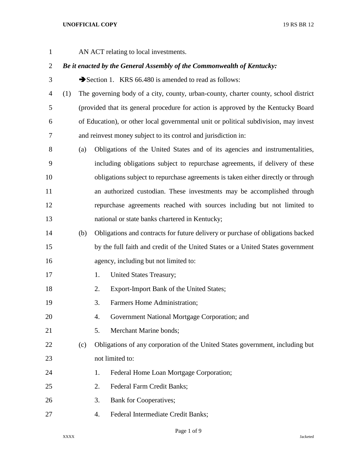AN ACT relating to local investments.

# *Be it enacted by the General Assembly of the Commonwealth of Kentucky:*

3 Section 1. KRS 66.480 is amended to read as follows:

- (1) The governing body of a city, county, urban-county, charter county, school district (provided that its general procedure for action is approved by the Kentucky Board of Education), or other local governmental unit or political subdivision, may invest and reinvest money subject to its control and jurisdiction in:
- (a) Obligations of the United States and of its agencies and instrumentalities, including obligations subject to repurchase agreements, if delivery of these obligations subject to repurchase agreements is taken either directly or through an authorized custodian. These investments may be accomplished through repurchase agreements reached with sources including but not limited to national or state banks chartered in Kentucky;
- (b) Obligations and contracts for future delivery or purchase of obligations backed by the full faith and credit of the United States or a United States government agency, including but not limited to:
- 17 1. United States Treasury;
- 2. Export-Import Bank of the United States;
- 3. Farmers Home Administration;
- 4. Government National Mortgage Corporation; and
- 5. Merchant Marine bonds;
- (c) Obligations of any corporation of the United States government, including but not limited to:
- 24 1. Federal Home Loan Mortgage Corporation;
- 2. Federal Farm Credit Banks;
- 3. Bank for Cooperatives;
- 4. Federal Intermediate Credit Banks;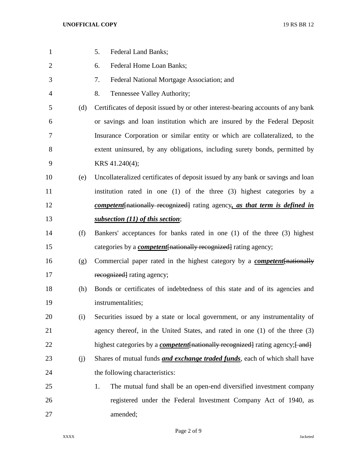| $\mathbf{1}$   |     | <b>Federal Land Banks;</b><br>5.                                                        |
|----------------|-----|-----------------------------------------------------------------------------------------|
| $\overline{2}$ |     | Federal Home Loan Banks;<br>6.                                                          |
| 3              |     | 7.<br>Federal National Mortgage Association; and                                        |
| 4              |     | 8.<br>Tennessee Valley Authority;                                                       |
| 5              | (d) | Certificates of deposit issued by or other interest-bearing accounts of any bank        |
| 6              |     | or savings and loan institution which are insured by the Federal Deposit                |
| 7              |     | Insurance Corporation or similar entity or which are collateralized, to the             |
| 8              |     | extent uninsured, by any obligations, including surety bonds, permitted by              |
| 9              |     | KRS 41.240(4);                                                                          |
| 10             | (e) | Uncollateralized certificates of deposit issued by any bank or savings and loan         |
| 11             |     | institution rated in one (1) of the three (3) highest categories by a                   |
| 12             |     | competent [nationally recognized] rating agency, as that term is defined in             |
| 13             |     | subsection (11) of this section;                                                        |
| 14             | (f) | Bankers' acceptances for banks rated in one (1) of the three (3) highest                |
| 15             |     | categories by a <i>competent</i> [nationally recognized] rating agency;                 |
| 16             | (g) | Commercial paper rated in the highest category by a <b><i>competent</i></b> [nationally |
| 17             |     | recognized rating agency;                                                               |
| 18             | (h) | Bonds or certificates of indebtedness of this state and of its agencies and             |
| 19             |     | instrumentalities;                                                                      |
| 20             | (i) | Securities issued by a state or local government, or any instrumentality of             |
| 21             |     | agency thereof, in the United States, and rated in one (1) of the three (3)             |
| 22             |     | highest categories by a <i>competent</i> [nationally recognized] rating agency; [and]   |
| 23             | (j) | Shares of mutual funds <i>and exchange traded funds</i> , each of which shall have      |
| 24             |     | the following characteristics:                                                          |
| 25             |     | The mutual fund shall be an open-end diversified investment company<br>1.               |
| 26             |     | registered under the Federal Investment Company Act of 1940, as                         |
| 27             |     | amended;                                                                                |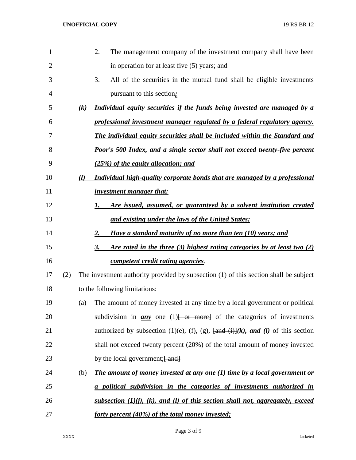| $\mathbf{1}$   |     |     | 2.<br>The management company of the investment company shall have been                                                         |
|----------------|-----|-----|--------------------------------------------------------------------------------------------------------------------------------|
| $\overline{2}$ |     |     | in operation for at least five (5) years; and                                                                                  |
| 3              |     |     | 3.<br>All of the securities in the mutual fund shall be eligible investments                                                   |
| 4              |     |     | pursuant to this section.                                                                                                      |
| 5              |     | (k) | Individual equity securities if the funds being invested are managed by a                                                      |
| 6              |     |     | professional investment manager regulated by a federal regulatory agency.                                                      |
| 7              |     |     | <b>The individual equity securities shall be included within the Standard and</b>                                              |
| 8              |     |     | <b>Poor's 500 Index, and a single sector shall not exceed twenty-five percent</b>                                              |
| 9              |     |     | (25%) of the equity allocation; and                                                                                            |
| 10             |     | (l) | Individual high-quality corporate bonds that are managed by a professional                                                     |
| 11             |     |     | <i>investment manager that:</i>                                                                                                |
| 12             |     |     | Are issued, assumed, or guaranteed by a solvent institution created<br>1.                                                      |
| 13             |     |     | <u>and existing under the laws of the United States;</u>                                                                       |
| 14             |     |     | Have a standard maturity of no more than ten (10) years; and<br>2.                                                             |
| 15             |     |     | <u>Are rated in the three (3) highest rating categories by at least two (2)</u><br>3.                                          |
| 16             |     |     | competent credit rating agencies.                                                                                              |
| 17             | (2) |     | The investment authority provided by subsection (1) of this section shall be subject                                           |
| 18             |     |     | to the following limitations:                                                                                                  |
| 19             |     | (a) | The amount of money invested at any time by a local government or political                                                    |
| 20             |     |     | subdivision in $\frac{any}{any}$ one (1) for more of the categories of investments                                             |
| 21             |     |     | authorized by subsection (1)(e), (f), (g), $\frac{\text{and}}{\text{and}}$ (i) $\frac{\text{d}}{\text{d}}$ (l) of this section |
| 22             |     |     | shall not exceed twenty percent $(20%)$ of the total amount of money invested                                                  |
| 23             |     |     | by the local government; [ and]                                                                                                |
| 24             |     | (b) | <b>The amount of money invested at any one (1) time by a local government or</b>                                               |
| 25             |     |     | a political subdivision in the categories of investments authorized in                                                         |
| 26             |     |     | <u>subsection <math>(1)(i)</math>, <math>(k)</math>, and <math>(l)</math> of this section shall not, aggregately, exceed</u>   |
| 27             |     |     | forty percent (40%) of the total money invested;                                                                               |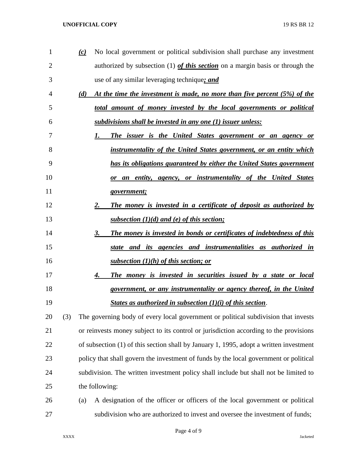| 1              |     | $\omega$ | No local government or political subdivision shall purchase any investment             |
|----------------|-----|----------|----------------------------------------------------------------------------------------|
| $\overline{2}$ |     |          | authorized by subsection (1) of this section on a margin basis or through the          |
| 3              |     |          | use of any similar leveraging technique; and                                           |
| 4              |     | (d)      | At the time the investment is made, no more than five percent (5%) of the              |
| 5              |     |          | total amount of money invested by the local governments or political                   |
| 6              |     |          | subdivisions shall be invested in any one (1) issuer unless:                           |
| 7              |     |          | The issuer is the United States government or an agency or<br>1.                       |
| 8              |     |          | instrumentality of the United States government, or an entity which                    |
| 9              |     |          | has its obligations guaranteed by either the United States government                  |
| 10             |     |          | an entity, agency, or instrumentality of the United States<br>or                       |
| 11             |     |          | government;                                                                            |
| 12             |     |          | The money is invested in a certificate of deposit as authorized by<br>2.               |
| 13             |     |          | subsection $(1)(d)$ and (e) of this section;                                           |
| 14             |     |          | The money is invested in bonds or certificates of indebtedness of this<br>3.           |
| 15             |     |          | and its agencies and instrumentalities as authorized in<br>state                       |
| 16             |     |          | <u>subsection <math>(1)(h)</math> of this section; or</u>                              |
| 17             |     |          | The money is invested in securities issued by a state or local<br>4.                   |
| 18             |     |          | government, or any instrumentality or agency thereof, in the United                    |
| 19             |     |          | States as authorized in subsection $(1)(i)$ of this section.                           |
| 20             | (3) |          | The governing body of every local government or political subdivision that invests     |
| 21             |     |          | or reinvests money subject to its control or jurisdiction according to the provisions  |
| 22             |     |          | of subsection (1) of this section shall by January 1, 1995, adopt a written investment |
| 23             |     |          | policy that shall govern the investment of funds by the local government or political  |
| 24             |     |          | subdivision. The written investment policy shall include but shall not be limited to   |
| 25             |     |          | the following:                                                                         |
| 26             |     | (a)      | A designation of the officer or officers of the local government or political          |
| 27             |     |          | subdivision who are authorized to invest and oversee the investment of funds;          |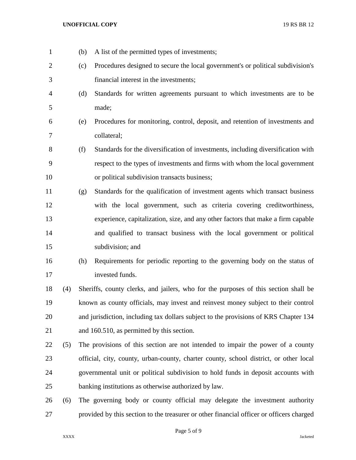(b) A list of the permitted types of investments; (c) Procedures designed to secure the local government's or political subdivision's financial interest in the investments; (d) Standards for written agreements pursuant to which investments are to be made; (e) Procedures for monitoring, control, deposit, and retention of investments and collateral; (f) Standards for the diversification of investments, including diversification with respect to the types of investments and firms with whom the local government or political subdivision transacts business; (g) Standards for the qualification of investment agents which transact business with the local government, such as criteria covering creditworthiness, experience, capitalization, size, and any other factors that make a firm capable and qualified to transact business with the local government or political subdivision; and (h) Requirements for periodic reporting to the governing body on the status of invested funds. (4) Sheriffs, county clerks, and jailers, who for the purposes of this section shall be known as county officials, may invest and reinvest money subject to their control and jurisdiction, including tax dollars subject to the provisions of KRS Chapter 134 and 160.510, as permitted by this section. (5) The provisions of this section are not intended to impair the power of a county official, city, county, urban-county, charter county, school district, or other local governmental unit or political subdivision to hold funds in deposit accounts with banking institutions as otherwise authorized by law. (6) The governing body or county official may delegate the investment authority provided by this section to the treasurer or other financial officer or officers charged

Page 5 of 9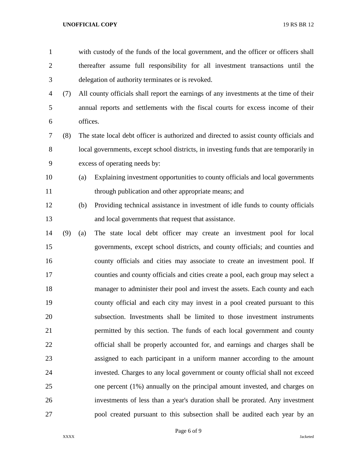| $\mathbf{1}$   |     | with custody of the funds of the local government, and the officer or officers shall   |
|----------------|-----|----------------------------------------------------------------------------------------|
| $\overline{2}$ |     | thereafter assume full responsibility for all investment transactions until the        |
| 3              |     | delegation of authority terminates or is revoked.                                      |
| $\overline{4}$ | (7) | All county officials shall report the earnings of any investments at the time of their |
| 5              |     | annual reports and settlements with the fiscal courts for excess income of their       |
| 6              |     | offices.                                                                               |
| 7              | (8) | The state local debt officer is authorized and directed to assist county officials and |
| 8              |     | local governments, except school districts, in investing funds that are temporarily in |
| 9              |     | excess of operating needs by:                                                          |
| 10             |     | Explaining investment opportunities to county officials and local governments<br>(a)   |
| 11             |     | through publication and other appropriate means; and                                   |
| 12             |     | Providing technical assistance in investment of idle funds to county officials<br>(b)  |
| 13             |     | and local governments that request that assistance.                                    |
| 14             | (9) | The state local debt officer may create an investment pool for local<br>(a)            |
| 15             |     | governments, except school districts, and county officials; and counties and           |
| 16             |     | county officials and cities may associate to create an investment pool. If             |
| 17             |     | counties and county officials and cities create a pool, each group may select a        |
| 18             |     | manager to administer their pool and invest the assets. Each county and each           |
| 19             |     | county official and each city may invest in a pool created pursuant to this            |
| 20             |     | subsection. Investments shall be limited to those investment instruments               |
| 21             |     | permitted by this section. The funds of each local government and county               |
| 22             |     | official shall be properly accounted for, and earnings and charges shall be            |
| 23             |     | assigned to each participant in a uniform manner according to the amount               |
| 24             |     | invested. Charges to any local government or county official shall not exceed          |
| 25             |     | one percent (1%) annually on the principal amount invested, and charges on             |
| 26             |     | investments of less than a year's duration shall be prorated. Any investment           |
| 27             |     | pool created pursuant to this subsection shall be audited each year by an              |

Page 6 of 9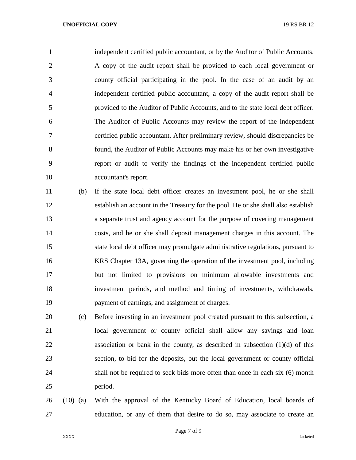independent certified public accountant, or by the Auditor of Public Accounts. A copy of the audit report shall be provided to each local government or county official participating in the pool. In the case of an audit by an independent certified public accountant, a copy of the audit report shall be provided to the Auditor of Public Accounts, and to the state local debt officer. The Auditor of Public Accounts may review the report of the independent certified public accountant. After preliminary review, should discrepancies be found, the Auditor of Public Accounts may make his or her own investigative report or audit to verify the findings of the independent certified public accountant's report.

 (b) If the state local debt officer creates an investment pool, he or she shall establish an account in the Treasury for the pool. He or she shall also establish a separate trust and agency account for the purpose of covering management costs, and he or she shall deposit management charges in this account. The state local debt officer may promulgate administrative regulations, pursuant to KRS Chapter 13A, governing the operation of the investment pool, including but not limited to provisions on minimum allowable investments and investment periods, and method and timing of investments, withdrawals, payment of earnings, and assignment of charges.

 (c) Before investing in an investment pool created pursuant to this subsection, a local government or county official shall allow any savings and loan association or bank in the county, as described in subsection (1)(d) of this section, to bid for the deposits, but the local government or county official shall not be required to seek bids more often than once in each six (6) month period.

 (10) (a) With the approval of the Kentucky Board of Education, local boards of education, or any of them that desire to do so, may associate to create an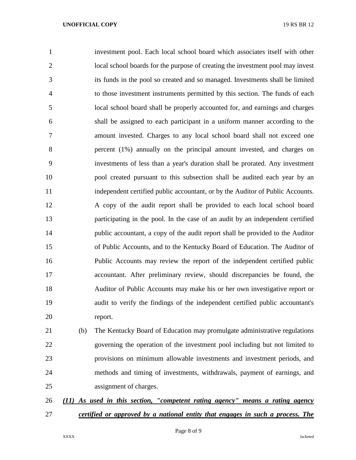investment pool. Each local school board which associates itself with other local school boards for the purpose of creating the investment pool may invest its funds in the pool so created and so managed. Investments shall be limited to those investment instruments permitted by this section. The funds of each local school board shall be properly accounted for, and earnings and charges shall be assigned to each participant in a uniform manner according to the amount invested. Charges to any local school board shall not exceed one percent (1%) annually on the principal amount invested, and charges on investments of less than a year's duration shall be prorated. Any investment pool created pursuant to this subsection shall be audited each year by an independent certified public accountant, or by the Auditor of Public Accounts. A copy of the audit report shall be provided to each local school board participating in the pool. In the case of an audit by an independent certified public accountant, a copy of the audit report shall be provided to the Auditor of Public Accounts, and to the Kentucky Board of Education. The Auditor of Public Accounts may review the report of the independent certified public accountant. After preliminary review, should discrepancies be found, the Auditor of Public Accounts may make his or her own investigative report or audit to verify the findings of the independent certified public accountant's report.

 (b) The Kentucky Board of Education may promulgate administrative regulations governing the operation of the investment pool including but not limited to provisions on minimum allowable investments and investment periods, and methods and timing of investments, withdrawals, payment of earnings, and assignment of charges.

# *(11) As used in this section, "competent rating agency" means a rating agency certified or approved by a national entity that engages in such a process. The*